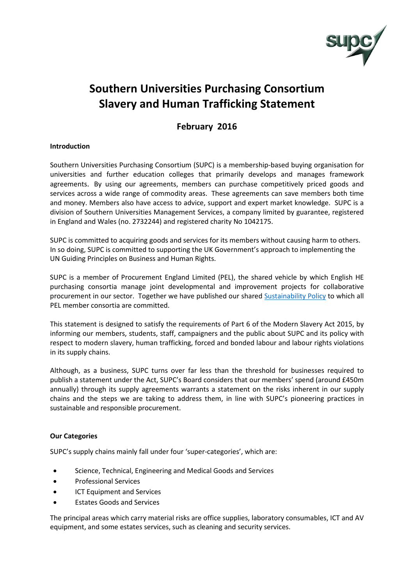

# **Southern Universities Purchasing Consortium Slavery and Human Trafficking Statement**

## **February 2016**

### **Introduction**

Southern Universities Purchasing Consortium (SUPC) is a membership-based buying organisation for universities and further education colleges that primarily develops and manages framework agreements. By using our agreements, members can purchase competitively priced goods and services across a wide range of commodity areas. These agreements can save members both time and money. Members also have access to advice, support and expert market knowledge. SUPC is a division of Southern Universities Management Services, a company limited by guarantee, registered in England and Wales (no. 2732244) and registered charity No 1042175.

SUPC is committed to acquiring goods and services for its members without causing harm to others. In so doing, SUPC is committed to supporting the UK Government's approach to implementing the UN Guiding Principles on Business and Human Rights.

SUPC is a member of Procurement England Limited (PEL), the shared vehicle by which English HE purchasing consortia manage joint developmental and improvement projects for collaborative procurement in our sector. Together we have published our shared [Sustainability Policy](http://www.supc.ac.uk/engage/about-us/sustainability) to which all PEL member consortia are committed.

This statement is designed to satisfy the requirements of Part 6 of the Modern Slavery Act 2015, by informing our members, students, staff, campaigners and the public about SUPC and its policy with respect to modern slavery, human trafficking, forced and bonded labour and labour rights violations in its supply chains.

Although, as a business, SUPC turns over far less than the threshold for businesses required to publish a statement under the Act, SUPC's Board considers that our members' spend (around £450m annually) through its supply agreements warrants a statement on the risks inherent in our supply chains and the steps we are taking to address them, in line with SUPC's pioneering practices in sustainable and responsible procurement.

#### **Our Categories**

SUPC's supply chains mainly fall under four 'super-categories', which are:

- Science, Technical, Engineering and Medical Goods and Services
- Professional Services
- **ICT Equipment and Services**
- Estates Goods and Services

The principal areas which carry material risks are office supplies, laboratory consumables, ICT and AV equipment, and some estates services, such as cleaning and security services.